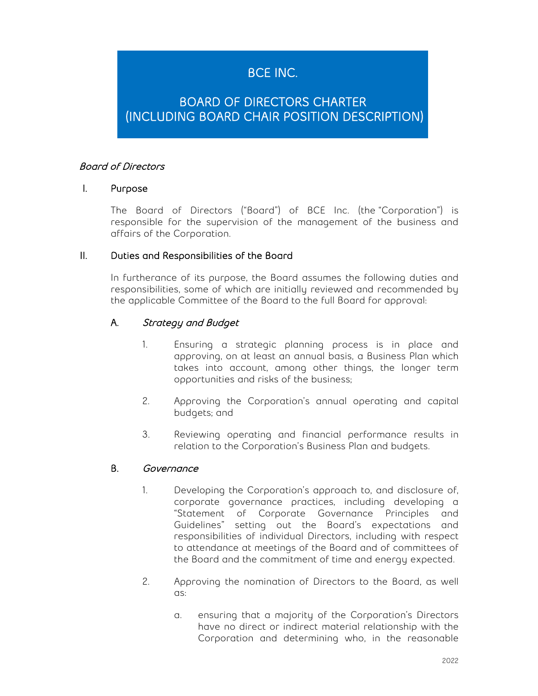# BCE INC.

## BOARD OF DIRECTORS CHARTER (INCLUDING BOARD CHAIR POSITION DESCRIPTION)

## Board of Directors

#### I. Purpose

The Board of Directors ("Board") of BCE Inc. (the "Corporation") is responsible for the supervision of the management of the business and affairs of the Corporation.

#### II. Duties and Responsibilities of the Board

In furtherance of its purpose, the Board assumes the following duties and responsibilities, some of which are initially reviewed and recommended by the applicable Committee of the Board to the full Board for approval:

## A. Strategy and Budget

- 1. Ensuring a strategic planning process is in place and approving, on at least an annual basis, a Business Plan which takes into account, among other things, the longer term opportunities and risks of the business;
- 2. Approving the Corporation's annual operating and capital budgets; and
- 3. Reviewing operating and financial performance results in relation to the Corporation's Business Plan and budgets.

#### B. Governance

- 1. Developing the Corporation's approach to, and disclosure of, corporate governance practices, including developing a "Statement of Corporate Governance Principles and Guidelines" setting out the Board's expectations and responsibilities of individual Directors, including with respect to attendance at meetings of the Board and of committees of the Board and the commitment of time and energy expected.
- 2. Approving the nomination of Directors to the Board, as well as:
	- a. ensuring that a majority of the Corporation's Directors have no direct or indirect material relationship with the Corporation and determining who, in the reasonable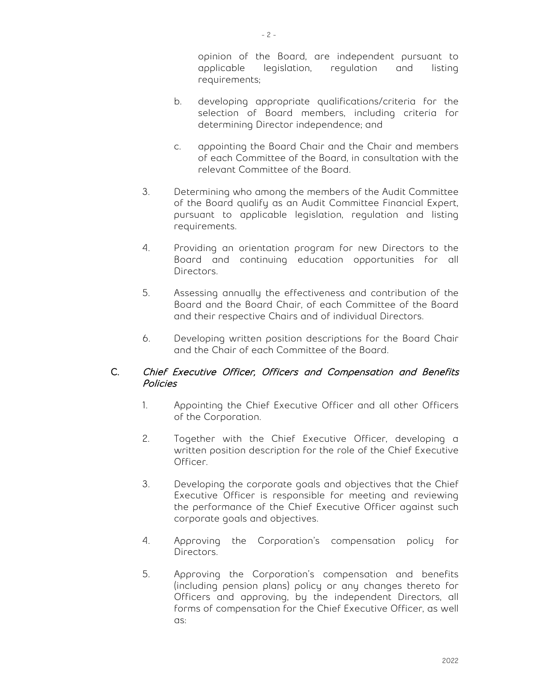- 2 -

opinion of the Board, are independent pursuant to applicable legislation, regulation and listing requirements;

- b. developing appropriate qualifications/criteria for the selection of Board members, including criteria for determining Director independence; and
- c. appointing the Board Chair and the Chair and members of each Committee of the Board, in consultation with the relevant Committee of the Board.
- 3. Determining who among the members of the Audit Committee of the Board qualify as an Audit Committee Financial Expert, pursuant to applicable legislation, regulation and listing requirements.
- 4. Providing an orientation program for new Directors to the Board and continuing education opportunities for all Directors.
- 5. Assessing annually the effectiveness and contribution of the Board and the Board Chair, of each Committee of the Board and their respective Chairs and of individual Directors.
- 6. Developing written position descriptions for the Board Chair and the Chair of each Committee of the Board.

## C. Chief Executive Officer, Officers and Compensation and Benefits Policies

- 1. Appointing the Chief Executive Officer and all other Officers of the Corporation.
- 2. Together with the Chief Executive Officer, developing a written position description for the role of the Chief Executive Officer.
- 3. Developing the corporate goals and objectives that the Chief Executive Officer is responsible for meeting and reviewing the performance of the Chief Executive Officer against such corporate goals and objectives.
- 4. Approving the Corporation's compensation policy for Directors.
- 5. Approving the Corporation's compensation and benefits (including pension plans) policy or any changes thereto for Officers and approving, by the independent Directors, all forms of compensation for the Chief Executive Officer, as well as: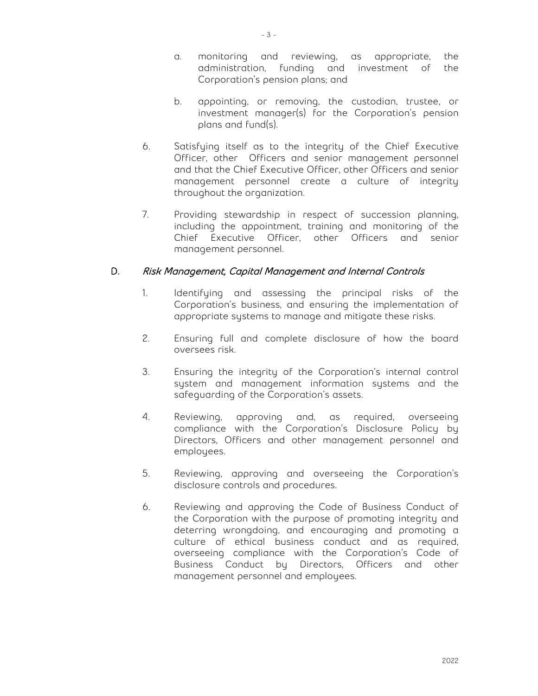- 3 -
- a. monitoring and reviewing, as appropriate, the administration, funding and investment of the Corporation's pension plans; and
- b. appointing, or removing, the custodian, trustee, or investment manager(s) for the Corporation's pension plans and fund(s).
- 6. Satisfying itself as to the integrity of the Chief Executive Officer, other Officers and senior management personnel and that the Chief Executive Officer, other Officers and senior management personnel create a culture of integrity throughout the organization.
- 7. Providing stewardship in respect of succession planning, including the appointment, training and monitoring of the Chief Executive Officer, other Officers and senior management personnel.

## D. Risk Management, Capital Management and Internal Controls

- 1. Identifying and assessing the principal risks of the Corporation's business, and ensuring the implementation of appropriate systems to manage and mitigate these risks.
- 2. Ensuring full and complete disclosure of how the board oversees risk.
- 3. Ensuring the integrity of the Corporation's internal control system and management information systems and the safeguarding of the Corporation's assets.
- 4. Reviewing, approving and, as required, overseeing compliance with the Corporation's Disclosure Policy by Directors, Officers and other management personnel and employees.
- 5. Reviewing, approving and overseeing the Corporation's disclosure controls and procedures.
- 6. Reviewing and approving the Code of Business Conduct of the Corporation with the purpose of promoting integrity and deterring wrongdoing, and encouraging and promoting a culture of ethical business conduct and as required, overseeing compliance with the Corporation's Code of Business Conduct by Directors, Officers and other management personnel and employees.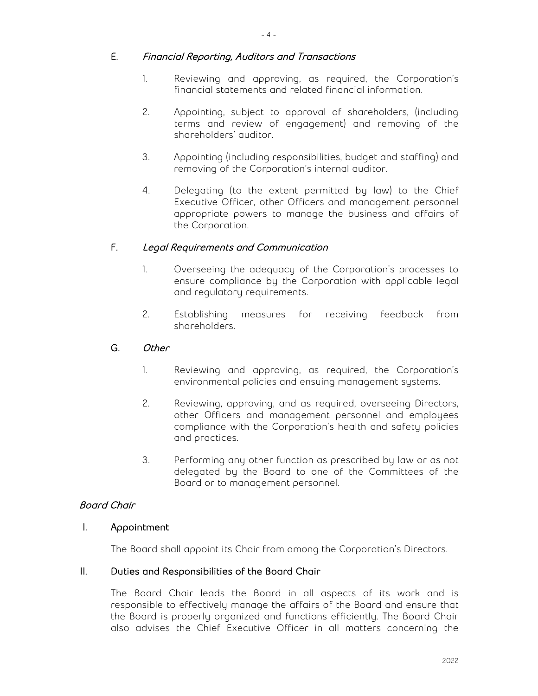- 4 -

#### E. Financial Reporting, Auditors and Transactions

- 1. Reviewing and approving, as required, the Corporation's financial statements and related financial information.
- 2. Appointing, subject to approval of shareholders, (including terms and review of engagement) and removing of the shareholders' auditor.
- 3. Appointing (including responsibilities, budget and staffing) and removing of the Corporation's internal auditor.
- 4. Delegating (to the extent permitted by law) to the Chief Executive Officer, other Officers and management personnel appropriate powers to manage the business and affairs of the Corporation.

#### F. Legal Requirements and Communication

- 1. Overseeing the adequacy of the Corporation's processes to ensure compliance by the Corporation with applicable legal and regulatory requirements.
- 2. Establishing measures for receiving feedback from shareholders.

#### G. Other

- 1. Reviewing and approving, as required, the Corporation's environmental policies and ensuing management systems.
- 2. Reviewing, approving, and as required, overseeing Directors, other Officers and management personnel and employees compliance with the Corporation's health and safety policies and practices.
- 3. Performing any other function as prescribed by law or as not delegated by the Board to one of the Committees of the Board or to management personnel.

## Board Chair

#### I. Appointment

The Board shall appoint its Chair from among the Corporation's Directors.

#### II. Duties and Responsibilities of the Board Chair

The Board Chair leads the Board in all aspects of its work and is responsible to effectively manage the affairs of the Board and ensure that the Board is properly organized and functions efficiently. The Board Chair also advises the Chief Executive Officer in all matters concerning the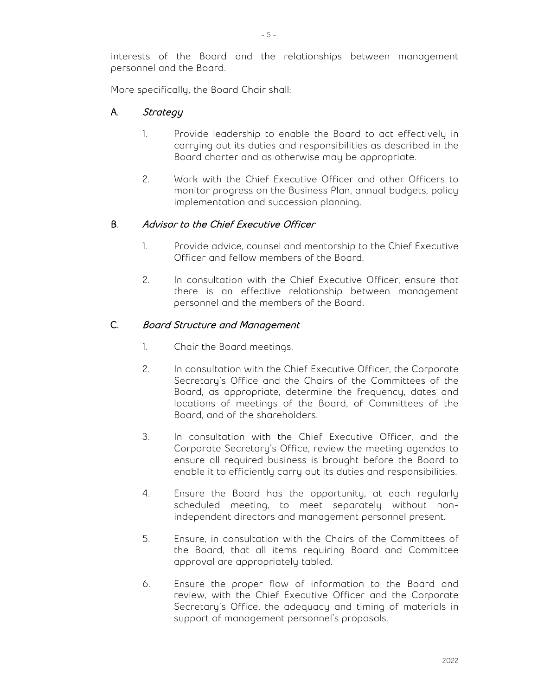interests of the Board and the relationships between management personnel and the Board.

More specifically, the Board Chair shall:

## A. Strategy

- 1. Provide leadership to enable the Board to act effectively in carrying out its duties and responsibilities as described in the Board charter and as otherwise may be appropriate.
- 2. Work with the Chief Executive Officer and other Officers to monitor progress on the Business Plan, annual budgets, policy implementation and succession planning.

#### B. Advisor to the Chief Executive Officer

- 1. Provide advice, counsel and mentorship to the Chief Executive Officer and fellow members of the Board.
- 2. In consultation with the Chief Executive Officer, ensure that there is an effective relationship between management personnel and the members of the Board.

#### C. Board Structure and Management

- 1. Chair the Board meetings.
- 2. In consultation with the Chief Executive Officer, the Corporate Secretary's Office and the Chairs of the Committees of the Board, as appropriate, determine the frequency, dates and locations of meetings of the Board, of Committees of the Board, and of the shareholders.
- 3. In consultation with the Chief Executive Officer, and the Corporate Secretary's Office, review the meeting agendas to ensure all required business is brought before the Board to enable it to efficiently carry out its duties and responsibilities.
- 4. Ensure the Board has the opportunity, at each regularly scheduled meeting, to meet separately without nonindependent directors and management personnel present.
- 5. Ensure, in consultation with the Chairs of the Committees of the Board, that all items requiring Board and Committee approval are appropriately tabled.
- 6. Ensure the proper flow of information to the Board and review, with the Chief Executive Officer and the Corporate Secretary's Office, the adequacy and timing of materials in support of management personnel's proposals.